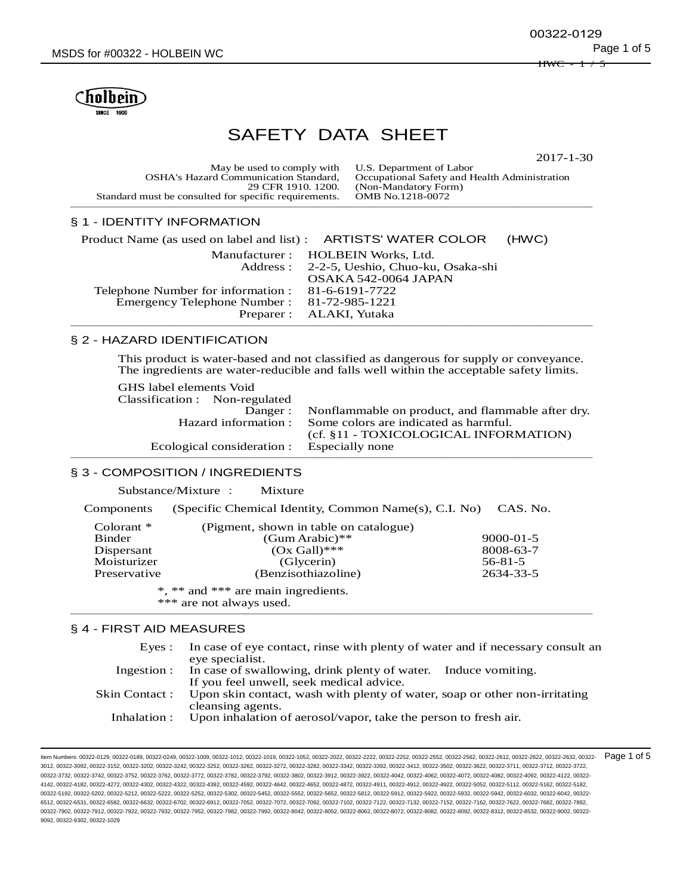

# SAFETY DATA SHEET

2017-1-30

| May be used to comply with U.S. Department of Labor   |                                               |
|-------------------------------------------------------|-----------------------------------------------|
| <b>OSHA's Hazard Communication Standard,</b>          | Occupational Safety and Health Administration |
| 29 CFR 1910, 1200.                                    | (Non-Mandatory Form)                          |
| Standard must be consulted for specific requirements. | OMB No.1218-0072                              |
|                                                       |                                               |

# § 1 - IDENTITY INFORMATION

| Product Name (as used on label and list) : ARTISTS' WATER COLOR |                                            | (HWC) |
|-----------------------------------------------------------------|--------------------------------------------|-------|
|                                                                 | Manufacturer: HOLBEIN Works, Ltd.          |       |
|                                                                 | Address: 2-2-5, Ueshio, Chuo-ku, Osaka-shi |       |
|                                                                 | OSAKA 542-0064 JAPAN                       |       |
| Telephone Number for information : 81-6-6191-7722               |                                            |       |
| Emergency Telephone Number: 81-72-985-1221                      |                                            |       |
|                                                                 | Preparer : ALAKI, Yutaka                   |       |
|                                                                 |                                            |       |

#### § 2 - HAZARD IDENTIFICATION

This product is water-based and not classified as dangerous for supply or conveyance. The ingredients are water-reducible and falls well within the acceptable safety limits.

GHS label elements Void

Classification : Non-regulated Danger : Nonflammable on product, and flammable after dry. Hazard information : Some colors are indicated as harmful. (cf. §11 - TOXICOLOGICAL INFORMATION) Ecological consideration : Especially none ──────────────────────────────────────────

# § 3 - COMPOSITION / INGREDIENTS

Substance/Mixture : Mixture

Components (Specific Chemical Identity, Common Name(s), C.I. No) CAS. No.

| Colorant $*$                        | (Pigment, shown in table on catalogue) |                 |  |
|-------------------------------------|----------------------------------------|-----------------|--|
| Binder                              | $(Gum Arabic)**$                       | $9000 - 01 - 5$ |  |
| Dispersant                          | $(Ox Gall)$ ***                        | 8008-63-7       |  |
| Moisturizer                         | (Glycerin)                             | $56 - 81 - 5$   |  |
| Preservative                        | (Benzisothiazoline)                    | 2634-33-5       |  |
| *, ** and *** are main ingredients. |                                        |                 |  |

\*\*\* are not always used. ──────────────────────────────────────────

#### § 4 - FIRST AID MEASURES

| Eves:        | In case of eye contact, rinse with plenty of water and if necessary consult an<br>eve specialist. |
|--------------|---------------------------------------------------------------------------------------------------|
|              | Ingestion : In case of swallowing, drink plenty of water. Induce vomiting.                        |
|              | If you feel unwell, seek medical advice.                                                          |
|              | Skin Contact: Upon skin contact, wash with plenty of water, soap or other non-irritating          |
|              | cleansing agents.                                                                                 |
| Inhalation : | Upon inhalation of aerosol/vapor, take the person to fresh air.                                   |

ltem Numbers: 00322-0129, 00322-0189, 00322-0249, 00322-1009, 00322-1012, 00322-1019, 00322-1052, 00322-2022, 00322-222, 00322-252, 00322-2552, 00322-2562, 00322-2562, 00322-2612, 00322-2622, 00322-2632, 00322-2632, 00322-3012, 00322-3092, 00322-3152, 00322-3202, 00322-3242, 00322-3252, 00322-3262, 00322-3272, 00322-3282, 00322-3342, 00322-3392, 00322-3412, 00322-3502, 00322-3622, 00322-3711, 00322-3712, 00322-3722, 00322-3732, 00322-3742, 00322-3752, 00322-3762, 00322-3772, 00322-3782, 00322-3792, 00322-3802, 00322-3912, 00322-3922, 00322-4042, 00322-4062, 00322-4072, 00322-4082, 00322-4092, 00322-4122, 00322- 4142, 00322-4182, 00322-4272, 00322-4302, 00322-4322, 00322-4392, 00322-4592, 00322-4642, 00322-4652, 00322-4872, 00322-4911, 00322-4912, 00322-4922, 00322-5052, 00322-5112, 00322-5162, 00322-5182, 00322-5192, 00322-5202, 00322-5212, 00322-5222, 00322-5252, 00322-5302, 00322-5452, 00322-5552, 00322-5652, 00322-5812, 00322-5912, 00322-5922, 00322-5932, 00322-5942, 00322-6032, 00322-6042, 00322- 6512, 00322-6531, 00322-6582, 00322-6632, 00322-6502, 00322-6912, 00322-7052, 00322-702, 00322-702, 00322-7122, 00322-7122, 00322-7152, 00322-7152, 00322-7682, 00322-7682, 00322-7682, 00322-762, 00322-7682, 00322-7682, 0032 00322-7902, 00322-7912, 00322-7922, 00322-7932, 00322-7952, 00322-7982, 00322-7992, 00322-8042, 00322-8052, 00322-8062, 00322-8072, 00322-8082, 00322-8092, 00322-8312, 00322-8532, 00322-9002, 00322- 9092, 00322-9302, 00322-1029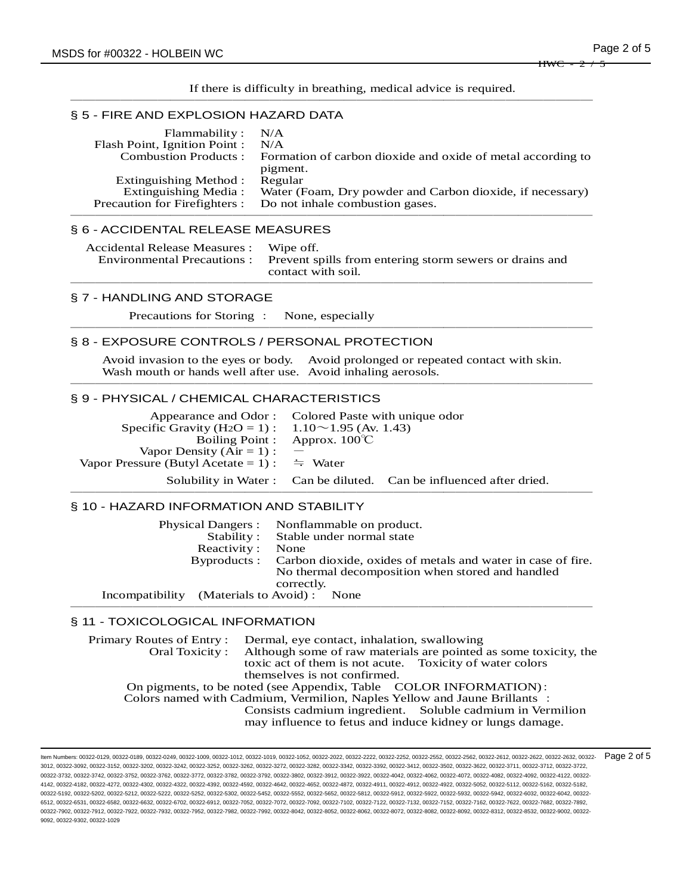If there is difficulty in breathing, medical advice is required. ──────────────────────────────────────────

#### § 5 - FIRE AND EXPLOSION HAZARD DATA

| Flammability:                 | N/A                                                         |
|-------------------------------|-------------------------------------------------------------|
| Flash Point, Ignition Point : | N/A                                                         |
| <b>Combustion Products:</b>   | Formation of carbon dioxide and oxide of metal according to |
|                               | pigment.                                                    |
| Extinguishing Method :        | Regular                                                     |
| Extinguishing Media:          | Water (Foam, Dry powder and Carbon dioxide, if necessary)   |
| Precaution for Firefighters : | Do not inhale combustion gases.                             |
|                               |                                                             |

# § 6 - ACCIDENTAL RELEASE MEASURES

| Accidental Release Measures : Wipe off. | Environmental Precautions : Prevent spills from entering storm sewers or drains and<br>contact with soil. |
|-----------------------------------------|-----------------------------------------------------------------------------------------------------------|
|                                         |                                                                                                           |

# § 7 - HANDLING AND STORAGE

Precautions for Storing : None, especially ──────────────────────────────────────────

# § 8 - EXPOSURE CONTROLS / PERSONAL PROTECTION

Avoid invasion to the eyes or body. Avoid prolonged or repeated contact with skin. Wash mouth or hands well after use. Avoid inhaling aerosols. ──────────────────────────────────────────

#### § 9 - PHYSICAL / CHEMICAL CHARACTERISTICS

|                                                                       | Appearance and Odor: Colored Paste with unique odor                  |  |
|-----------------------------------------------------------------------|----------------------------------------------------------------------|--|
| Specific Gravity (H <sub>2</sub> O = 1) : 1.10 $\sim$ 1.95 (Av. 1.43) |                                                                      |  |
|                                                                       | Boiling Point : Approx. $100^{\circ}$ C                              |  |
| Vapor Density $(Air = 1)$ :                                           |                                                                      |  |
| Vapor Pressure (Butyl Acetate = 1) : $\Rightarrow$ Water              |                                                                      |  |
|                                                                       | Solubility in Water : Can be diluted. Can be influenced after dried. |  |
|                                                                       |                                                                      |  |

### § 10 - HAZARD INFORMATION AND STABILITY

|                                            | Physical Dangers : Nonflammable on product.                             |
|--------------------------------------------|-------------------------------------------------------------------------|
|                                            | Stability: Stable under normal state                                    |
| Reactivity:                                | None                                                                    |
|                                            | Byproducts: Carbon dioxide, oxides of metals and water in case of fire. |
|                                            | No thermal decomposition when stored and handled                        |
|                                            | correctly.                                                              |
| Incompatibility (Materials to Avoid): None |                                                                         |
|                                            |                                                                         |

# § 11 - TOXICOLOGICAL INFORMATION

| Primary Routes of Entry: Dermal, eye contact, inhalation, swallowing            |                                                           |  |
|---------------------------------------------------------------------------------|-----------------------------------------------------------|--|
| Oral Toxicity: Although some of raw materials are pointed as some toxicity, the |                                                           |  |
| toxic act of them is not acute. Toxicity of water colors                        |                                                           |  |
| themselves is not confirmed.                                                    |                                                           |  |
| On pigments, to be noted (see Appendix, Table COLOR INFORMATION):               |                                                           |  |
| Colors named with Cadmium, Vermilion, Naples Yellow and Jaune Brillants:        |                                                           |  |
|                                                                                 | Consists cadmium ingredient. Soluble cadmium in Vermilion |  |
| may influence to fetus and induce kidney or lungs damage.                       |                                                           |  |

ltem Numbers: 00322-0129, 00322-0189, 00322-0249, 00322-1009, 00322-1012, 00322-1019, 00322-1052, 00322-2022, 00322-222, 00322-252, 00322-2552, 00322-2562, 00322-2562, 00322-2612, 00322-2622, 00322-2632, 00322-2632, 00322-3012, 00322-3092, 00322-3152, 00322-3202, 00322-3242, 00322-3252, 00322-3262, 00322-3272, 00322-3282, 00322-3342, 00322-3392, 00322-3412, 00322-3502, 00322-3622, 00322-3711, 00322-3712, 00322-3722, 00322-3732, 00322-3742, 00322-3752, 00322-3762, 00322-3772, 00322-3782, 00322-3792, 00322-3802, 00322-3912, 00322-3922, 00322-4042, 00322-4062, 00322-4072, 00322-4082, 00322-4092, 00322-4122, 00322- 4142, 00322-4182, 00322-4272, 00322-4302, 00322-4322, 00322-4392, 00322-4592, 00322-4642, 00322-4652, 00322-4872, 00322-4911, 00322-4912, 00322-4922, 00322-5052, 00322-5112, 00322-5162, 00322-5182, 00322-5192, 00322-5202, 00322-5212, 00322-5222, 00322-5252, 00322-5302, 00322-5452, 00322-5552, 00322-5652, 00322-5812, 00322-5912, 00322-5922, 00322-5932, 00322-5942, 00322-6032, 00322-6042, 00322- 6512, 00322-6531, 00322-6582, 00322-6632, 00322-6702, 00322-6912, 00322-7052, 00322-7072, 00322-7092, 00322-7102, 00322-7122, 00322-7132, 00322-7152, 00322-7162, 00322-7622, 00322-7682, 00322-7892, 00322-7902, 00322-7912, 00322-7922, 00322-7932, 00322-7952, 00322-7982, 00322-7992, 00322-8042, 00322-8052, 00322-8062, 00322-8072, 00322-8082, 00322-8092, 00322-8312, 00322-8532, 00322-9002, 00322- 9092, 00322-9302, 00322-1029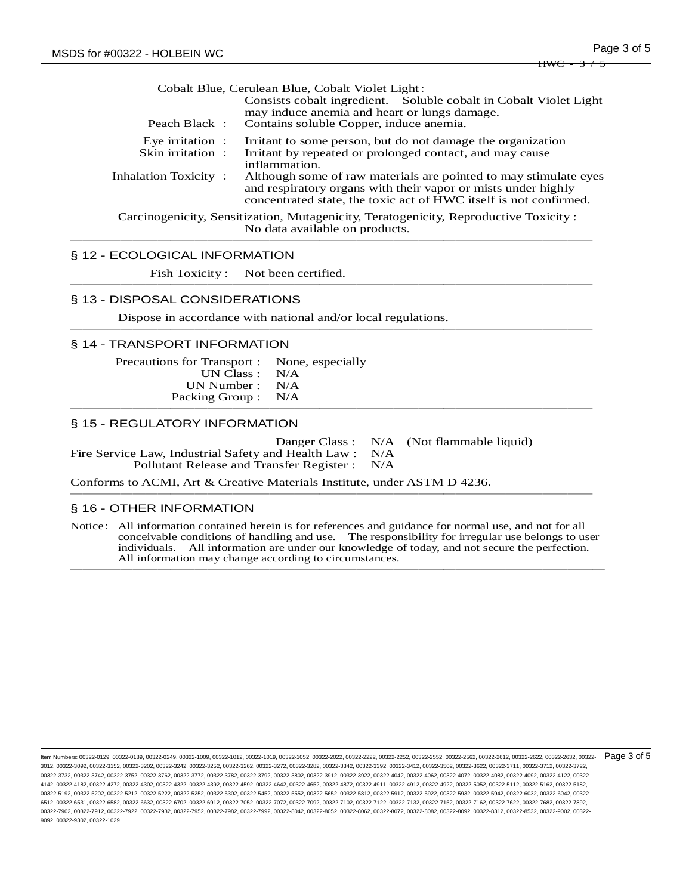|                                            | Cobalt Blue, Cerulean Blue, Cobalt Violet Light:                                                                                                                                                       |
|--------------------------------------------|--------------------------------------------------------------------------------------------------------------------------------------------------------------------------------------------------------|
| Peach Black:                               | Consists cobalt ingredient. Soluble cobalt in Cobalt Violet Light<br>may induce anemia and heart or lungs damage.<br>Contains soluble Copper, induce anemia.                                           |
| Eye irritation $\cdot$<br>Skin irritation: | Irritant to some person, but do not damage the organization<br>Irritant by repeated or prolonged contact, and may cause<br>inflammation.                                                               |
| Inhalation Toxicity:                       | Although some of raw materials are pointed to may stimulate eyes<br>and respiratory organs with their vapor or mists under highly<br>concentrated state, the toxic act of HWC itself is not confirmed. |
|                                            | Carcinogenicity, Sensitization, Mutagenicity, Teratogenicity, Reproductive Toxicity:<br>No data available on products.                                                                                 |

──────────────────────────────────────────

#### § 12 - ECOLOGICAL INFORMATION

Fish Toxicity : Not been certified. ──────────────────────────────────────────

#### § 13 - DISPOSAL CONSIDERATIONS

Dispose in accordance with national and/or local regulations. ──────────────────────────────────────────

#### § 14 - TRANSPORT INFORMATION

| Precautions for Transport : None, especially |  |
|----------------------------------------------|--|
| UN Class : $N/A$                             |  |
| UN Number : $N/A$                            |  |
| Packing Group : N/A                          |  |
|                                              |  |

#### § 15 - REGULATORY INFORMATION

Danger Class : N/A (Not flammable liquid)<br>d Health Law : N/A

Fire Service Law, Industrial Safety and Health Law : N/A<br>Pollutant Release and Transfer Register : N/A Pollutant Release and Transfer Register :

Conforms to ACMI, Art & Creative Materials Institute, under ASTM D 4236.

### § 16 - OTHER INFORMATION

Notice: All information contained herein is for references and guidance for normal use, and not for all conceivable conditions of handling and use. The responsibility for irregular use belongs to user individuals. All information are under our knowledge of today, and not secure the perfection. All information may change according to circumstances. ───────────────────────────────────────────

──────────────────────────────────────────

ltem Numbers: 00322-0129, 00322-0189, 00322-0249, 00322-1009, 00322-1012, 00322-1019, 00322-1052, 00322-2022, 00322-222, 00322-252, 00322-2552, 00322-2562, 00322-2562, 00322-2612, 00322-2622, 00322-2632, 00322-2632, 00322-3012, 00322-3092, 00322-3152, 00322-3202, 00322-3242, 00322-3252, 00322-3262, 00322-3272, 00322-3282, 00322-3342, 00322-3392, 00322-3412, 00322-3502, 00322-3622, 00322-3711, 00322-3712, 00322-3722, 00322-3732, 00322-3742, 00322-3752, 00322-3762, 00322-3772, 00322-3782, 00322-3792, 00322-3802, 00322-3912, 00322-3922, 00322-4042, 00322-4062, 00322-4072, 00322-4082, 00322-4092, 00322-4122, 00322- 4142, 00322-4182, 00322-4272, 00322-4302, 00322-4322, 00322-4392, 00322-4592, 00322-4642, 00322-4652, 00322-4872, 00322-4911, 00322-4912, 00322-4922, 00322-5052, 00322-5112, 00322-5162, 00322-5182, 00322-5192, 00322-5202, 00322-5212, 00322-5222, 00322-5252, 00322-5302, 00322-5452, 00322-5552, 00322-5652, 00322-5812, 00322-5912, 00322-5922, 00322-5932, 00322-5942, 00322-6032, 00322-6042, 00322- 6512, 00322-6531, 00322-6582, 00322-6632, 00322-6502, 00322-6912, 00322-7052, 00322-702, 00322-702, 00322-7122, 00322-7122, 00322-7152, 00322-7152, 00322-7682, 00322-7682, 00322-7682, 00322-762, 00322-7682, 00322-7682, 0032 00322-7902, 00322-7912, 00322-7922, 00322-7932, 00322-7952, 00322-7982, 00322-7992, 00322-8042, 00322-8052, 00322-8062, 00322-8072, 00322-8082, 00322-8092, 00322-8312, 00322-8532, 00322-9002, 00322- 9092, 00322-9302, 00322-1029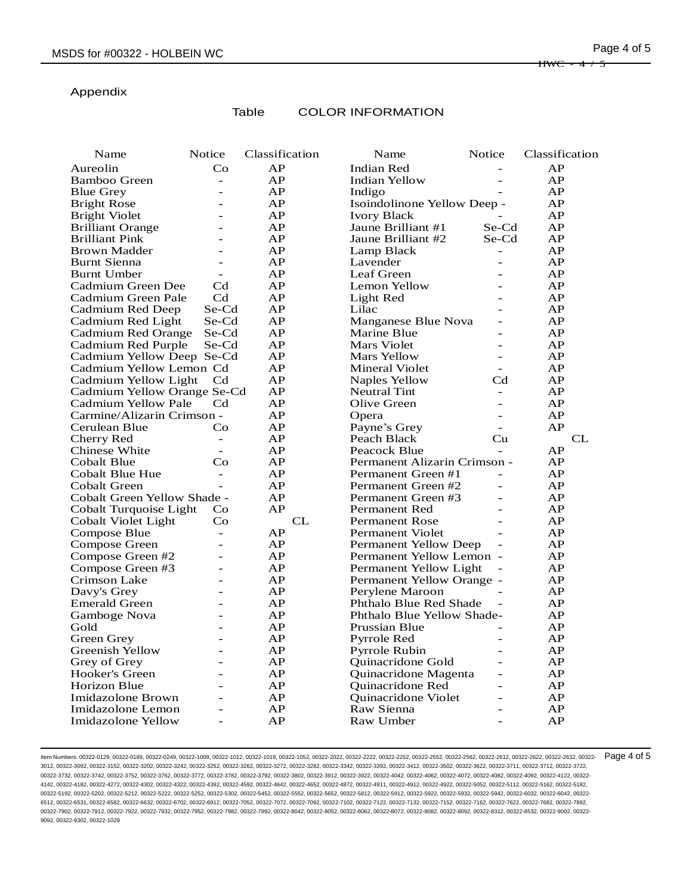# Appendix

# Table COLOR INFORMATION

| Name                        | Notice                   | Classification | Name                         | Notice                   | Classification |
|-----------------------------|--------------------------|----------------|------------------------------|--------------------------|----------------|
| Aureolin                    | Co                       | AP             | Indian Red                   |                          | AP             |
| Bamboo Green                | $\overline{\phantom{a}}$ | AP             | <b>Indian Yellow</b>         | $\overline{a}$           | AP             |
| <b>Blue Grey</b>            | L.                       | AP             | Indigo                       |                          | AP             |
| <b>Bright Rose</b>          | $\overline{a}$           | AP             | Isoindolinone Yellow Deep -  |                          | AP             |
| <b>Bright Violet</b>        |                          | AP             | <b>Ivory Black</b>           |                          | AP             |
| <b>Brilliant Orange</b>     |                          | AP             | Jaune Brilliant #1           | Se-Cd                    | AP             |
| <b>Brilliant Pink</b>       |                          | AP             | Jaune Brilliant #2           | Se-Cd                    | AP             |
| <b>Brown Madder</b>         | L.                       | AP             | Lamp Black                   | $\overline{\phantom{m}}$ | AP             |
| Burnt Sienna                |                          | AP             | Lavender                     |                          | AP             |
| <b>Burnt Umber</b>          | $\overline{\phantom{a}}$ | AP             | Leaf Green                   |                          | AP             |
| Cadmium Green Dee           | C <sub>d</sub>           | AP             | Lemon Yellow                 |                          | AP             |
| Cadmium Green Pale          | C <sub>d</sub>           | AP             | Light Red                    |                          | AP             |
| Cadmium Red Deep            | Se-Cd                    | AP             | Lilac                        |                          | AP             |
| Cadmium Red Light           | Se-Cd                    | AP             | Manganese Blue Nova          | $\overline{a}$           | AP             |
| Cadmium Red Orange          | Se-Cd                    | AP             | Marine Blue                  |                          | AP             |
| Cadmium Red Purple          | Se-Cd                    | AP             | Mars Violet                  | $\overline{\phantom{a}}$ | AP             |
| Cadmium Yellow Deep Se-Cd   |                          | AP             | <b>Mars Yellow</b>           | $\overline{\phantom{a}}$ | AP             |
| Cadmium Yellow Lemon Cd     |                          | AP             | <b>Mineral Violet</b>        | $\overline{\phantom{a}}$ | AP             |
| Cadmium Yellow Light        | C <sub>d</sub>           | AP             | <b>Naples Yellow</b>         | $\operatorname{Cd}$      | AP             |
| Cadmium Yellow Orange Se-Cd |                          | AP             | <b>Neutral Tint</b>          | $\overline{\phantom{a}}$ | AP             |
| Cadmium Yellow Pale         | C <sub>d</sub>           | AP             | Olive Green                  | $\overline{\phantom{a}}$ | AP             |
| Carmine/Alizarin Crimson -  |                          | AP             | Opera                        | $\overline{\phantom{a}}$ | AP             |
| Cerulean Blue               | Co                       | AP             | Payne's Grey                 | $\sim$                   | AP             |
| Cherry Red                  | $\overline{\phantom{a}}$ | AP             | Peach Black                  | Cu                       | CL             |
| Chinese White               | $\overline{a}$           | AP             | Peacock Blue                 | $\overline{a}$           | AP             |
| Cobalt Blue                 | Co                       | AP             | Permanent Alizarin Crimson - |                          | AP             |
| Cobalt Blue Hue             | $\equiv$                 | AP             | Permanent Green #1           | $\overline{a}$           | AP             |
| Cobalt Green                | $\overline{a}$           | AP             | Permanent Green #2           | $\overline{a}$           | AP             |
| Cobalt Green Yellow Shade - |                          | AP             | Permanent Green #3           | $\overline{a}$           | AP             |
| Cobalt Turquoise Light      | Co                       | AP             | Permanent Red                | $\overline{a}$           | AP             |
| Cobalt Violet Light         | Co                       | CL             | <b>Permanent Rose</b>        | $\overline{a}$           | AP             |
| Compose Blue                | $\equiv$                 | AP             | Permanent Violet             | $\overline{a}$           | AP             |
| Compose Green               |                          | AP             | <b>Permanent Yellow Deep</b> | $\overline{a}$           | AP             |
| Compose Green #2            | $\overline{a}$           | AP             | Permanent Yellow Lemon -     |                          | AP             |
| Compose Green #3            | $\overline{a}$           | AP             | Permanent Yellow Light       |                          | AP             |
| Crimson Lake                |                          | AP             | Permanent Yellow Orange -    |                          | AP             |
| Davy's Grey                 |                          | AP             | Perylene Maroon              |                          | AP             |
| <b>Emerald Green</b>        |                          | AP             | Phthalo Blue Red Shade       |                          | AP             |
| Gamboge Nova                |                          | AP             | Phthalo Blue Yellow Shade-   |                          | AP             |
| Gold                        |                          | AP             | Prussian Blue                |                          | AP             |
| Green Grey                  | $\overline{\phantom{0}}$ | AP             | Pyrrole Red                  | $\overline{a}$           | AP             |
| Greenish Yellow             |                          | AP             | <b>Pyrrole Rubin</b>         |                          | AP             |
| Grey of Grey                | $\overline{a}$           | AP             | Quinacridone Gold            | $\overline{a}$           | AP             |
| Hooker's Green              |                          | AP             | Quinacridone Magenta         | $\overline{a}$           | AP             |
| <b>Horizon Blue</b>         | ۳                        | AP             | Quinacridone Red             | $\sim$                   | AP             |
| Imidazolone Brown           |                          | AP             | <b>Ouinacridone Violet</b>   |                          | AP             |
| Imidazolone Lemon           | $\overline{a}$           | AP             | Raw Sienna                   | $\sim$                   | AP             |
| Imidazolone Yellow          | $\overline{a}$           | AP             | Raw Umber                    | $\overline{a}$           | AP             |

ltem Numbers: 00322-0129, 00322-0189, 00322-0249, 00322-1009, 00322-1012, 00322-1019, 00322-1052, 00322-2022, 00322-222, 00322-252, 00322-2552, 00322-2562, 00322-2562, 00322-2612, 00322-2622, 00322-2632, 00322-2632, 00322-3012, 00322-3092, 00322-3152, 00322-3202, 00322-3242, 00322-3252, 00322-3262, 00322-3272, 00322-3282, 00322-3342, 00322-3392, 00322-3412, 00322-3502, 00322-3622, 00322-3711, 00322-3712, 00322-3722, 00322-3732, 00322-3742, 00322-3752, 00322-3762, 00322-3772, 00322-3782, 00322-3792, 00322-3802, 00322-3912, 00322-3922, 00322-4042, 00322-4062, 00322-4072, 00322-4082, 00322-4092, 00322-4122, 00322- 4142, 00322-4182, 00322-4272, 00322-4302, 00322-4322, 00322-4392, 00322-4592, 00322-4642, 00322-4652, 00322-4872, 00322-4911, 00322-4912, 00322-4922, 00322-5052, 00322-5112, 00322-5162, 00322-5182, 00322-5192, 00322-5202, 00322-5212, 00322-5222, 00322-5252, 00322-5302, 00322-5452, 00322-5552, 00322-5652, 00322-5812, 00322-5912, 00322-5922, 00322-5932, 00322-5942, 00322-6032, 00322-6042, 00322- 6512, 00322-6531, 00322-6582, 00322-6632, 00322-6702, 00322-6912, 00322-7052, 00322-7072, 00322-7092, 00322-7102, 00322-7122, 00322-7132, 00322-7152, 00322-7162, 00322-7622, 00322-7682, 00322-7892, 00322-7902, 00322-7912, 00322-7922, 00322-7932, 00322-7952, 00322-7982, 00322-7992, 00322-8042, 00322-8052, 00322-8062, 00322-8072, 00322-8082, 00322-8092, 00322-8312, 00322-8532, 00322-9002, 00322- 9092, 00322-9302, 00322-1029